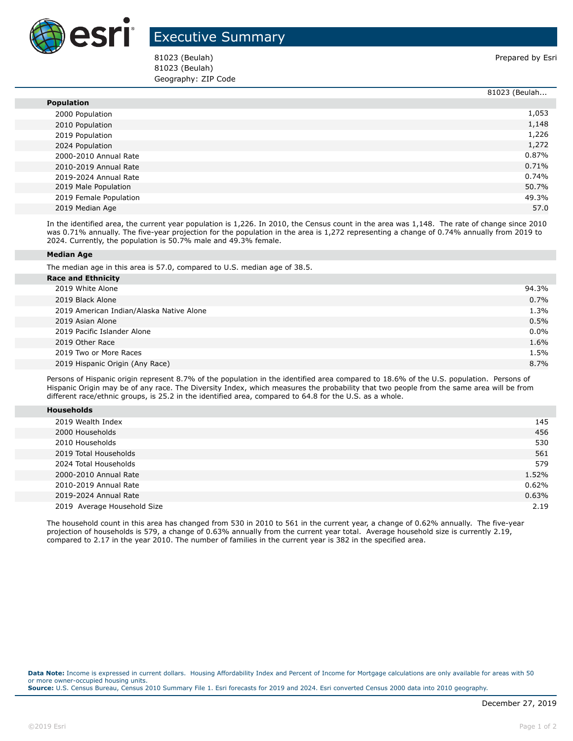

## Executive Summary

81023 (Beulah) Prepared by Esri 81023 (Beulah) Geography: ZIP Code

|                        | 81023 (Beulah |
|------------------------|---------------|
| <b>Population</b>      |               |
| 2000 Population        | 1,053         |
| 2010 Population        | 1,148         |
| 2019 Population        | 1,226         |
| 2024 Population        | 1,272         |
| 2000-2010 Annual Rate  | 0.87%         |
| 2010-2019 Annual Rate  | 0.71%         |
| 2019-2024 Annual Rate  | 0.74%         |
| 2019 Male Population   | 50.7%         |
| 2019 Female Population | 49.3%         |
| 2019 Median Age        | 57.0          |

In the identified area, the current year population is 1,226. In 2010, the Census count in the area was 1,148. The rate of change since 2010 was 0.71% annually. The five-year projection for the population in the area is 1,272 representing a change of 0.74% annually from 2019 to 2024. Currently, the population is 50.7% male and 49.3% female.

## **Median Age**

The median age in this area is 57.0, compared to U.S. median age of 38.5.

| <b>Race and Ethnicity</b>                |         |  |  |
|------------------------------------------|---------|--|--|
| 2019 White Alone                         | 94.3%   |  |  |
| 2019 Black Alone                         | 0.7%    |  |  |
| 2019 American Indian/Alaska Native Alone | 1.3%    |  |  |
| 2019 Asian Alone                         | 0.5%    |  |  |
| 2019 Pacific Islander Alone              | $0.0\%$ |  |  |
| 2019 Other Race                          | 1.6%    |  |  |
| 2019 Two or More Races                   | 1.5%    |  |  |
| 2019 Hispanic Origin (Any Race)          | 8.7%    |  |  |
|                                          |         |  |  |

Persons of Hispanic origin represent 8.7% of the population in the identified area compared to 18.6% of the U.S. population. Persons of Hispanic Origin may be of any race. The Diversity Index, which measures the probability that two people from the same area will be from different race/ethnic groups, is 25.2 in the identified area, compared to 64.8 for the U.S. as a whole.

|--|

| 2019 Wealth Index           | 145   |
|-----------------------------|-------|
| 2000 Households             | 456   |
| 2010 Households             | 530   |
| 2019 Total Households       | 561   |
| 2024 Total Households       | 579   |
| 2000-2010 Annual Rate       | 1.52% |
| 2010-2019 Annual Rate       | 0.62% |
| 2019-2024 Annual Rate       | 0.63% |
| 2019 Average Household Size | 2.19  |

The household count in this area has changed from 530 in 2010 to 561 in the current year, a change of 0.62% annually. The five-year projection of households is 579, a change of 0.63% annually from the current year total. Average household size is currently 2.19, compared to 2.17 in the year 2010. The number of families in the current year is 382 in the specified area.

**Data Note:** Income is expressed in current dollars. Housing Affordability Index and Percent of Income for Mortgage calculations are only available for areas with 50 or more owner-occupied housing units. **Source:** U.S. Census Bureau, Census 2010 Summary File 1. Esri forecasts for 2019 and 2024. Esri converted Census 2000 data into 2010 geography.